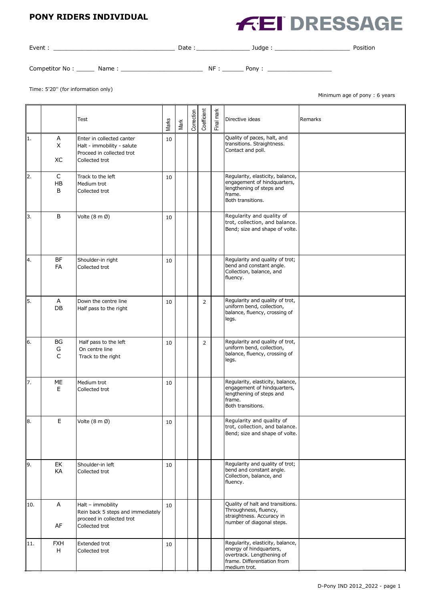#### **PONY RIDERS INDIVIDUAL**

# **FEI DRESSAGE**

| Event :        |       | Date: |     | Judge: | Position |
|----------------|-------|-------|-----|--------|----------|
| Competitor No: | Name: |       | NF: | Pony:  |          |

Time: 5'20'' (for information only)

Minimum age of pony : 6 years

|     |                         | Test                                                                                                   | Marks | Mark | Correction | Coefficient    | Final mark | Directive ideas                                                                                                                         | Remarks |
|-----|-------------------------|--------------------------------------------------------------------------------------------------------|-------|------|------------|----------------|------------|-----------------------------------------------------------------------------------------------------------------------------------------|---------|
| 1.  | Α<br>X<br>XC            | Enter in collected canter<br>Halt - immobility - salute<br>Proceed in collected trot<br>Collected trot | 10    |      |            |                |            | Quality of paces, halt, and<br>transitions. Straightness.<br>Contact and poll.                                                          |         |
| 2.  | C<br>HB<br>B            | Track to the left<br>Medium trot<br>Collected trot                                                     | 10    |      |            |                |            | Regularity, elasticity, balance,<br>engagement of hindquarters,<br>lengthening of steps and<br>frame.<br>Both transitions.              |         |
| 3.  | B                       | Volte (8 m Ø)                                                                                          | 10    |      |            |                |            | Regularity and quality of<br>trot, collection, and balance.<br>Bend; size and shape of volte.                                           |         |
| 14. | <b>BF</b><br><b>FA</b>  | Shoulder-in right<br>Collected trot                                                                    | 10    |      |            |                |            | Regularity and quality of trot;<br>bend and constant angle.<br>Collection, balance, and<br>fluency.                                     |         |
| 5.  | Α<br>DB                 | Down the centre line<br>Half pass to the right                                                         | 10    |      |            | $\overline{2}$ |            | Regularity and quality of trot,<br>uniform bend, collection,<br>balance, fluency, crossing of<br>legs.                                  |         |
| 6.  | BG<br>G<br>$\mathsf{C}$ | Half pass to the left<br>On centre line<br>Track to the right                                          | 10    |      |            | $\overline{2}$ |            | Regularity and quality of trot,<br>uniform bend, collection,<br>balance, fluency, crossing of<br>legs.                                  |         |
| 17. | ME<br>E                 | Medium trot<br>Collected trot                                                                          | 10    |      |            |                |            | Regularity, elasticity, balance,<br>engagement of hindquarters,<br>lengthening of steps and<br>frame.<br>Both transitions.              |         |
| 8.  | E                       | Volte (8 m Ø)                                                                                          | 10    |      |            |                |            | Regularity and quality of<br>trot, collection, and balance.<br>Bend; size and shape of volte.                                           |         |
| 9.  | EK<br>KA                | Shoulder-in left<br>Collected trot                                                                     | 10    |      |            |                |            | Regularity and quality of trot;<br>bend and constant angle.<br>Collection, balance, and<br>fluency.                                     |         |
| 10. | Α<br>AF                 | Halt - immobility<br>Rein back 5 steps and immediately<br>proceed in collected trot<br>Collected trot  | 10    |      |            |                |            | Quality of halt and transitions.<br>Throughness, fluency,<br>straightness. Accuracy in<br>number of diagonal steps.                     |         |
| 11. | <b>FXH</b><br>H         | Extended trot<br>Collected trot                                                                        | 10    |      |            |                |            | Regularity, elasticity, balance,<br>energy of hindquarters,<br>overtrack. Lengthening of<br>frame. Differentiation from<br>medium trot. |         |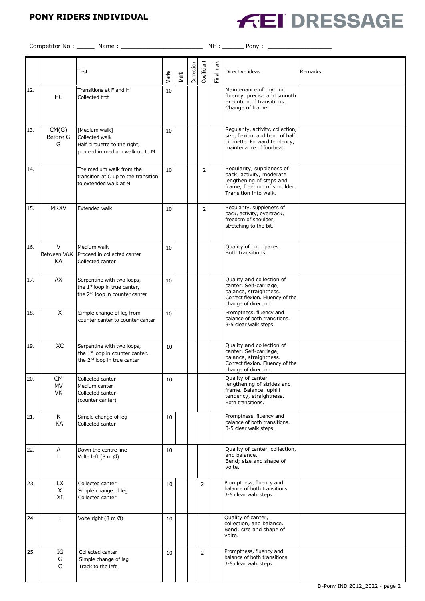## **PONY RIDERS INDIVIDUAL**



Competitor No : \_\_\_\_\_ Name : \_\_\_\_\_\_\_\_\_\_\_\_\_\_\_\_\_\_\_\_\_\_\_ NF : \_\_\_\_\_\_ Pony : \_\_\_\_\_\_\_\_\_\_\_\_\_\_\_\_\_\_

|     |                              | Test                                                                                                                 | Marks | Mark | Correction | Coefficient    | Final mark | Directive ideas                                                                                                                           | Remarks |
|-----|------------------------------|----------------------------------------------------------------------------------------------------------------------|-------|------|------------|----------------|------------|-------------------------------------------------------------------------------------------------------------------------------------------|---------|
| 12. | HC                           | Transitions at F and H<br>Collected trot                                                                             | 10    |      |            |                |            | Maintenance of rhythm,<br>fluency, precise and smooth<br>execution of transitions.<br>Change of frame.                                    |         |
| 13. | CM(G)<br>Before G<br>G       | [Medium walk]<br>Collected walk<br>Half pirouette to the right,<br>proceed in medium walk up to M                    | 10    |      |            |                |            | Regularity, activity, collection,<br>size, flexion, and bend of half<br>pirouette. Forward tendency,<br>maintenance of fourbeat.          |         |
| 14. |                              | The medium walk from the<br>transition at C up to the transition<br>to extended walk at M                            | 10    |      |            | $\overline{2}$ |            | Regularity, suppleness of<br>back, activity, moderate<br>lengthening of steps and<br>frame, freedom of shoulder.<br>Transition into walk. |         |
| 15. | <b>MRXV</b>                  | Extended walk                                                                                                        | 10    |      |            | $\overline{2}$ |            | Regularity, suppleness of<br>back, activity, overtrack,<br>freedom of shoulder,<br>stretching to the bit.                                 |         |
| 16. | $\vee$<br>Between V&K<br>KА  | Medium walk<br>Proceed in collected canter<br>Collected canter                                                       | 10    |      |            |                |            | Quality of both paces.<br>Both transitions.                                                                                               |         |
| 17. | AX                           | Serpentine with two loops,<br>the $1st$ loop in true canter,<br>the 2 <sup>nd</sup> loop in counter canter           | 10    |      |            |                |            | Quality and collection of<br>canter. Self-carriage,<br>balance, straightness.<br>Correct flexion. Fluency of the<br>change of direction.  |         |
| 18. | X                            | Simple change of leg from<br>counter canter to counter canter                                                        | 10    |      |            |                |            | Promptness, fluency and<br>balance of both transitions.<br>3-5 clear walk steps.                                                          |         |
| 19. | XC                           | Serpentine with two loops,<br>the 1 <sup>st</sup> loop in counter canter,<br>the 2 <sup>nd</sup> loop in true canter | 10    |      |            |                |            | Quality and collection of<br>canter. Self-carriage,<br>balance, straightness.<br>Correct flexion. Fluency of the<br>change of direction.  |         |
| 20. | <b>CM</b><br><b>MV</b><br>VK | Collected canter<br>Medium canter<br>Collected canter<br>(counter canter)                                            | 10    |      |            |                |            | Quality of canter,<br>lengthening of strides and<br>frame. Balance, uphill<br>tendency, straightness.<br>Both transitions.                |         |
| 21. | K<br>KA                      | Simple change of leg<br>Collected canter                                                                             | 10    |      |            |                |            | Promptness, fluency and<br>balance of both transitions.<br>3-5 clear walk steps.                                                          |         |
| 22. | Α<br>L                       | Down the centre line<br>Volte left (8 m Ø)                                                                           | 10    |      |            |                |            | Quality of canter, collection,<br>and balance.<br>Bend; size and shape of<br>volte.                                                       |         |
| 23. | LX<br>X<br>XI                | Collected canter<br>Simple change of leg<br>Collected canter                                                         | 10    |      |            | $\overline{2}$ |            | Promptness, fluency and<br>balance of both transitions.<br>3-5 clear walk steps.                                                          |         |
| 24. | $\bf{I}$                     | Volte right (8 m Ø)                                                                                                  | 10    |      |            |                |            | Quality of canter,<br>collection, and balance.<br>Bend; size and shape of<br>volte.                                                       |         |
| 25. | IG<br>G<br>C                 | Collected canter<br>Simple change of leg<br>Track to the left                                                        | 10    |      |            | $\overline{2}$ |            | Promptness, fluency and<br>balance of both transitions.<br>3-5 clear walk steps.                                                          |         |